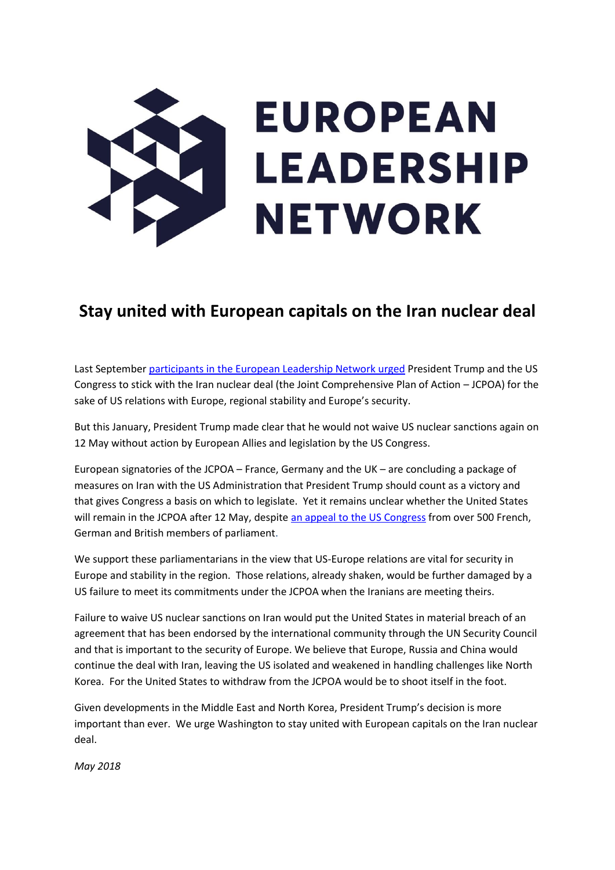

# **Stay united with European capitals on the Iran nuclear deal**

Last September [participants in the European Leadership Network urged](https://www.europeanleadershipnetwork.org/wp-content/uploads/2017/10/170927-ELN-Group-Statement-with-Endorsements_FINAL.pdf) President Trump and the US Congress to stick with the Iran nuclear deal (the Joint Comprehensive Plan of Action – JCPOA) for the sake of US relations with Europe, regional stability and Europe's security.

But this January, President Trump made clear that he would not waive US nuclear sanctions again on 12 May without action by European Allies and legislation by the US Congress.

European signatories of the JCPOA – France, Germany and the UK – are concluding a package of measures on Iran with the US Administration that President Trump should count as a victory and that gives Congress a basis on which to legislate. Yet it remains unclear whether the United States will remain in the JCPOA after 12 May, despit[e an appeal to the US Congress](https://europeanmpsforjcpoa.com/) from over 500 French, German and British members of parliament.

We support these parliamentarians in the view that US-Europe relations are vital for security in Europe and stability in the region. Those relations, already shaken, would be further damaged by a US failure to meet its commitments under the JCPOA when the Iranians are meeting theirs.

Failure to waive US nuclear sanctions on Iran would put the United States in material breach of an agreement that has been endorsed by the international community through the UN Security Council and that is important to the security of Europe. We believe that Europe, Russia and China would continue the deal with Iran, leaving the US isolated and weakened in handling challenges like North Korea. For the United States to withdraw from the JCPOA would be to shoot itself in the foot.

Given developments in the Middle East and North Korea, President Trump's decision is more important than ever. We urge Washington to stay united with European capitals on the Iran nuclear deal.

*May 2018*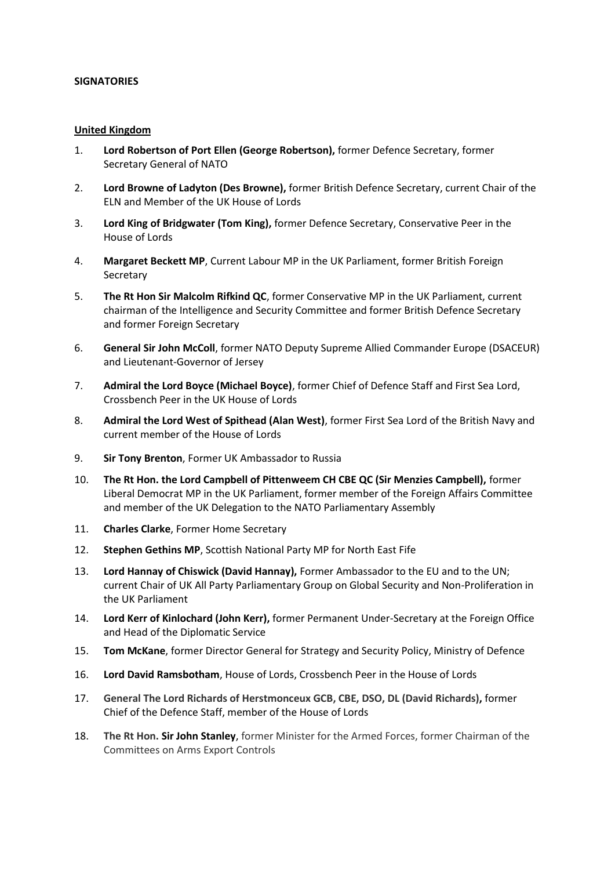#### **SIGNATORIES**

#### **United Kingdom**

- 1. **Lord Robertson of Port Ellen (George Robertson),** former Defence Secretary, former Secretary General of NATO
- 2. **Lord Browne of Ladyton (Des Browne),** former British Defence Secretary, current Chair of the ELN and Member of the UK House of Lords
- 3. **Lord King of Bridgwater (Tom King),** former Defence Secretary, Conservative Peer in the House of Lords
- 4. **Margaret Beckett MP**, Current Labour MP in the UK Parliament, former British Foreign **Secretary**
- 5. **The Rt Hon Sir Malcolm Rifkind QC**, former Conservative MP in the UK Parliament, current chairman of the Intelligence and Security Committee and former British Defence Secretary and former Foreign Secretary
- 6. **General Sir John McColl**, former NATO Deputy Supreme Allied Commander Europe (DSACEUR) and Lieutenant-Governor of Jersey
- 7. **Admiral the Lord Boyce (Michael Boyce)**, former Chief of Defence Staff and First Sea Lord, Crossbench Peer in the UK House of Lords
- 8. **Admiral the Lord West of Spithead (Alan West)**, former First Sea Lord of the British Navy and current member of the House of Lords
- 9. **Sir Tony Brenton**, Former UK Ambassador to Russia
- 10. **The Rt Hon. the Lord Campbell of Pittenweem CH CBE QC (Sir Menzies Campbell),** former Liberal Democrat MP in the UK Parliament, former member of the Foreign Affairs Committee and member of the UK Delegation to the NATO Parliamentary Assembly
- 11. **Charles Clarke**, Former Home Secretary
- 12. **Stephen Gethins MP**, Scottish National Party MP for North East Fife
- 13. **Lord Hannay of Chiswick (David Hannay),** Former Ambassador to the EU and to the UN; current Chair of UK All Party Parliamentary Group on Global Security and Non-Proliferation in the UK Parliament
- 14. **Lord Kerr of Kinlochard (John Kerr),** former Permanent Under-Secretary at the Foreign Office and Head of the Diplomatic Service
- 15. **Tom McKane**, former Director General for Strategy and Security Policy, Ministry of Defence
- 16. **Lord David Ramsbotham**, House of Lords, Crossbench Peer in the House of Lords
- 17. **General The Lord Richards of Herstmonceux GCB, CBE, DSO, DL (David Richards),** former Chief of the Defence Staff, member of the House of Lords
- 18. **The Rt Hon. Sir John Stanley**, former Minister for the Armed Forces, former Chairman of the Committees on Arms Export Controls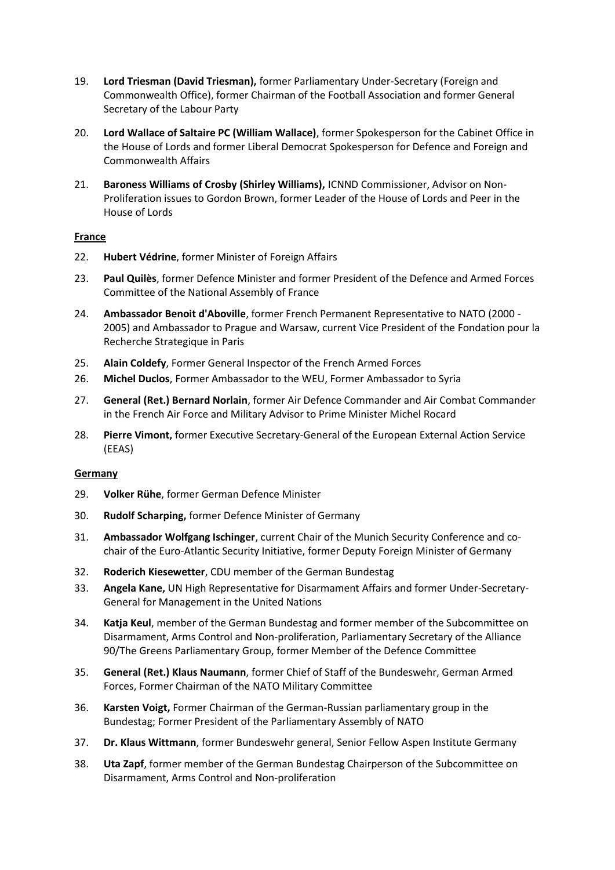- 19. **Lord Triesman (David Triesman),** former Parliamentary Under-Secretary (Foreign and Commonwealth Office), former Chairman of the Football Association and former General Secretary of the Labour Party
- 20. **Lord Wallace of Saltaire PC (William Wallace)**, former Spokesperson for the Cabinet Office in the House of Lords and former Liberal Democrat Spokesperson for Defence and Foreign and Commonwealth Affairs
- 21. **Baroness Williams of Crosby (Shirley Williams),** ICNND Commissioner, Advisor on Non-Proliferation issues to Gordon Brown, former Leader of the House of Lords and Peer in the House of Lords

#### **France**

- 22. **Hubert Védrine**, former Minister of Foreign Affairs
- 23. **Paul Quilès**, former Defence Minister and former President of the Defence and Armed Forces Committee of the National Assembly of France
- 24. **Ambassador Benoit d'Aboville**, former French Permanent Representative to NATO (2000 2005) and Ambassador to Prague and Warsaw, current Vice President of the Fondation pour la Recherche Strategique in Paris
- 25. **Alain Coldefy**, Former General Inspector of the French Armed Forces
- 26. **Michel Duclos**, Former Ambassador to the WEU, Former Ambassador to Syria
- 27. **General (Ret.) Bernard Norlain**, former Air Defence Commander and Air Combat Commander in the French Air Force and Military Advisor to Prime Minister Michel Rocard
- 28. **Pierre Vimont,** former Executive Secretary-General of the European External Action Service (EEAS)

#### **Germany**

- 29. **Volker Rühe**, former German Defence Minister
- 30. **Rudolf Scharping,** former Defence Minister of Germany
- 31. **Ambassador Wolfgang Ischinger**, current Chair of the Munich Security Conference and cochair of the Euro-Atlantic Security Initiative, former Deputy Foreign Minister of Germany
- 32. **Roderich Kiesewetter**, CDU member of the German Bundestag
- 33. **Angela Kane,** UN High Representative for Disarmament Affairs and former Under-Secretary-General for Management in the United Nations
- 34. **Katja Keul**, member of the German Bundestag and former member of the Subcommittee on Disarmament, Arms Control and Non-proliferation, Parliamentary Secretary of the Alliance 90/The Greens Parliamentary Group, former Member of the Defence Committee
- 35. **General (Ret.) Klaus Naumann**, former Chief of Staff of the Bundeswehr, German Armed Forces, Former Chairman of the NATO Military Committee
- 36. **Karsten Voigt,** Former Chairman of the German-Russian parliamentary group in the Bundestag; Former President of the Parliamentary Assembly of NATO
- 37. **Dr. Klaus Wittmann**, former Bundeswehr general, Senior Fellow Aspen Institute Germany
- 38. **Uta Zapf**, former member of the German Bundestag Chairperson of the Subcommittee on Disarmament, Arms Control and Non-proliferation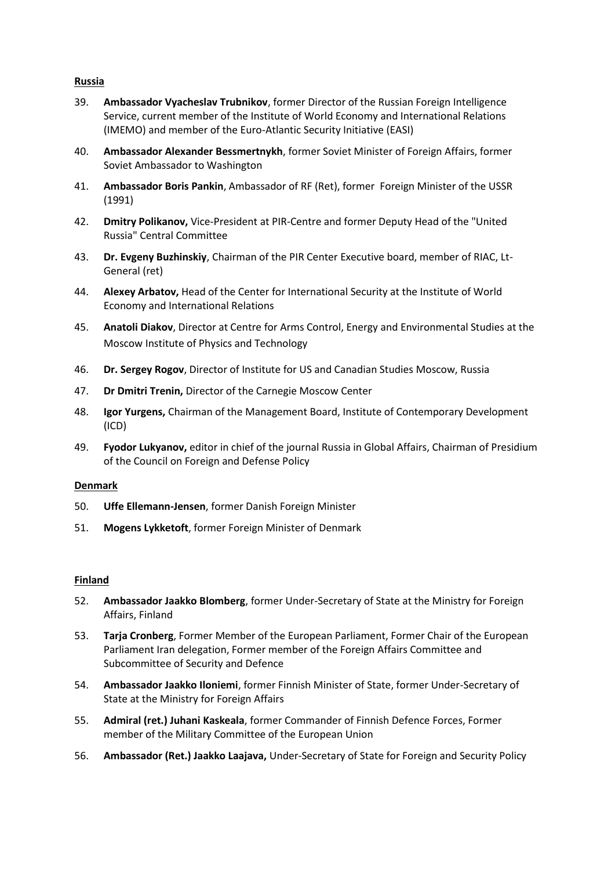## **Russia**

- 39. **Ambassador Vyacheslav Trubnikov**, former Director of the Russian Foreign Intelligence Service, current member of the Institute of World Economy and International Relations (IMEMO) and member of the Euro-Atlantic Security Initiative (EASI)
- 40. **Ambassador Alexander Bessmertnykh**, former Soviet Minister of Foreign Affairs, former Soviet Ambassador to Washington
- 41. **Ambassador Boris Pankin**, Ambassador of RF (Ret), former Foreign Minister of the USSR (1991)
- 42. **Dmitry Polikanov,** Vice-President at PIR-Centre and former Deputy Head of the "United Russia" Central Committee
- 43. **Dr. Evgeny Buzhinskiy**, Chairman of the PIR Center Executive board, member of RIAC, Lt-General (ret)
- 44. **Alexey Arbatov,** Head of the Center for International Security at the Institute of World Economy and International Relations
- 45. **Anatoli Diakov**, Director at Centre for Arms Control, Energy and Environmental Studies at the Moscow Institute of Physics and Technology
- 46. **Dr. Sergey Rogov**, Director of Institute for US and Canadian Studies Moscow, Russia
- 47. **Dr Dmitri Trenin,** Director of the Carnegie Moscow Center
- 48. **Igor Yurgens,** Chairman of the Management Board, Institute of Contemporary Development (ICD)
- 49. **Fyodor Lukyanov,** editor in chief of the journal Russia in Global Affairs, Chairman of Presidium of the Council on Foreign and Defense Policy

#### **Denmark**

- 50. **Uffe Ellemann-Jensen**, former Danish Foreign Minister
- 51. **Mogens Lykketoft**, former Foreign Minister of Denmark

#### **Finland**

- 52. **Ambassador Jaakko Blomberg**, former Under-Secretary of State at the Ministry for Foreign Affairs, Finland
- 53. **Tarja Cronberg**, Former Member of the European Parliament, Former Chair of the European Parliament Iran delegation, Former member of the Foreign Affairs Committee and Subcommittee of Security and Defence
- 54. **Ambassador Jaakko Iloniemi**, former Finnish Minister of State, former Under-Secretary of State at the Ministry for Foreign Affairs
- 55. **Admiral (ret.) Juhani Kaskeala**, former Commander of Finnish Defence Forces, Former member of the Military Committee of the European Union
- 56. **Ambassador (Ret.) Jaakko Laajava,** Under-Secretary of State for Foreign and Security Policy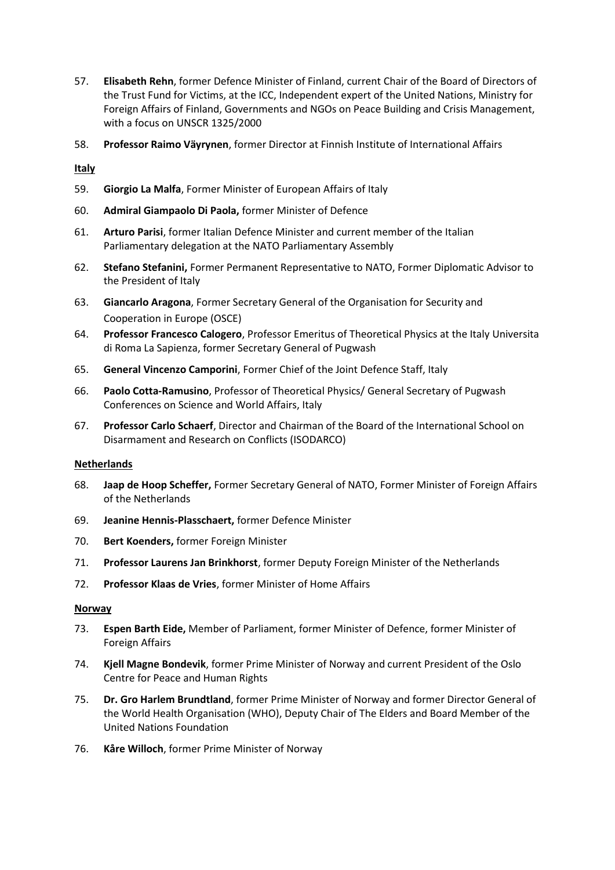- 57. **Elisabeth Rehn**, former Defence Minister of Finland, current Chair of the Board of Directors of the Trust Fund for Victims, at the ICC, Independent expert of the United Nations, Ministry for Foreign Affairs of Finland, Governments and NGOs on Peace Building and Crisis Management, with a focus on UNSCR 1325/2000
- 58. **Professor Raimo Väyrynen**, former Director at Finnish Institute of International Affairs

## **Italy**

- 59. **Giorgio La Malfa**, Former Minister of European Affairs of Italy
- 60. **Admiral Giampaolo Di Paola,** former Minister of Defence
- 61. **Arturo Parisi**, former Italian Defence Minister and current member of the Italian Parliamentary delegation at the NATO Parliamentary Assembly
- 62. **Stefano Stefanini,** Former Permanent Representative to NATO, Former Diplomatic Advisor to the President of Italy
- 63. **Giancarlo Aragona**, Former Secretary General of the Organisation for Security and Cooperation in Europe (OSCE)
- 64. **Professor Francesco Calogero**, Professor Emeritus of Theoretical Physics at the Italy Universita di Roma La Sapienza, former Secretary General of Pugwash
- 65. **General Vincenzo Camporini**, Former Chief of the Joint Defence Staff, Italy
- 66. **Paolo Cotta-Ramusino**, Professor of Theoretical Physics/ General Secretary of Pugwash Conferences on Science and World Affairs, Italy
- 67. **Professor Carlo Schaerf**, Director and Chairman of the Board of the International School on Disarmament and Research on Conflicts (ISODARCO)

#### **Netherlands**

- 68. **Jaap de Hoop Scheffer,** Former Secretary General of NATO, Former Minister of Foreign Affairs of the Netherlands
- 69. **Jeanine Hennis-Plasschaert,** former Defence Minister
- 70. **Bert Koenders,** former Foreign Minister
- 71. **Professor Laurens Jan Brinkhorst**, former Deputy Foreign Minister of the Netherlands
- 72. **Professor Klaas de Vries**, former Minister of Home Affairs

#### **Norway**

- 73. **Espen Barth Eide,** Member of Parliament, former Minister of Defence, former Minister of Foreign Affairs
- 74. **Kjell Magne Bondevik**, former Prime Minister of Norway and current President of the Oslo Centre for Peace and Human Rights
- 75. **Dr. Gro Harlem Brundtland**, former Prime Minister of Norway and former Director General of the World Health Organisation (WHO), Deputy Chair of The Elders and Board Member of the United Nations Foundation
- 76. **Kåre Willoch**, former Prime Minister of Norway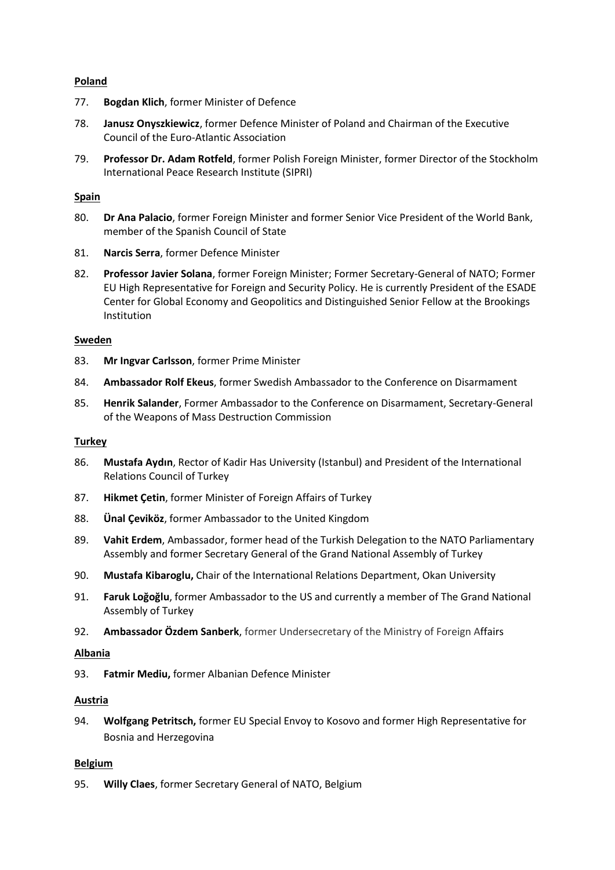## **Poland**

- 77. **Bogdan Klich**, former Minister of Defence
- 78. **Janusz Onyszkiewicz**, former Defence Minister of Poland and Chairman of the Executive Council of the Euro-Atlantic Association
- 79. **Professor Dr. Adam Rotfeld**, former Polish Foreign Minister, former Director of the Stockholm International Peace Research Institute (SIPRI)

## **Spain**

- 80. **Dr Ana Palacio**, former Foreign Minister and former Senior Vice President of the World Bank, member of the Spanish Council of State
- 81. **Narcis Serra**, former Defence Minister
- 82. **Professor Javier Solana**, former Foreign Minister; Former Secretary-General of NATO; Former EU High Representative for Foreign and Security Policy. He is currently President of the ESADE Center for Global Economy and Geopolitics and Distinguished Senior Fellow at the Brookings Institution

#### **Sweden**

- 83. **Mr Ingvar Carlsson**, former Prime Minister
- 84. **Ambassador Rolf Ekeus**, former Swedish Ambassador to the Conference on Disarmament
- 85. **Henrik Salander**, Former Ambassador to the Conference on Disarmament, Secretary-General of the Weapons of Mass Destruction Commission

#### **Turkey**

- 86. **Mustafa Aydın**, Rector of Kadir Has University (Istanbul) and President of the International Relations Council of Turkey
- 87. **Hikmet Çetin**, former Minister of Foreign Affairs of Turkey
- 88. **Ünal Çeviköz**, former Ambassador to the United Kingdom
- 89. **Vahit Erdem**, Ambassador, former head of the Turkish Delegation to the NATO Parliamentary Assembly and former Secretary General of the Grand National Assembly of Turkey
- 90. **Mustafa Kibaroglu,** Chair of the International Relations Department, Okan University
- 91. **Faruk Loğoğlu**, former Ambassador to the US and currently a member of The Grand National Assembly of Turkey
- 92. **Ambassador Özdem Sanberk**, former Undersecretary of the Ministry of Foreign Affairs

#### **Albania**

93. **Fatmir Mediu,** former Albanian Defence Minister

#### **Austria**

94. **Wolfgang Petritsch,** former EU Special Envoy to Kosovo and former High Representative for Bosnia and Herzegovina

#### **Belgium**

95. **Willy Claes**, former Secretary General of NATO, Belgium